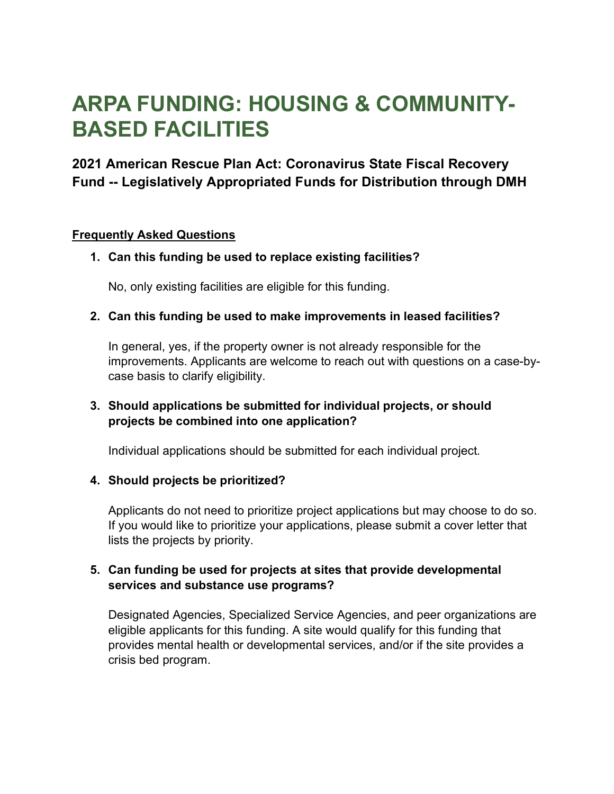# **ARPA FUNDING: HOUSING & COMMUNITY-BASED FACILITIES**

# **2021 American Rescue Plan Act: Coronavirus State Fiscal Recovery Fund -- Legislatively Appropriated Funds for Distribution through DMH**

#### **Frequently Asked Questions**

# **1. Can this funding be used to replace existing facilities?**

No, only existing facilities are eligible for this funding.

#### **2. Can this funding be used to make improvements in leased facilities?**

In general, yes, if the property owner is not already responsible for the improvements. Applicants are welcome to reach out with questions on a case-bycase basis to clarify eligibility.

# **3. Should applications be submitted for individual projects, or should projects be combined into one application?**

Individual applications should be submitted for each individual project.

#### **4. Should projects be prioritized?**

Applicants do not need to prioritize project applications but may choose to do so. If you would like to prioritize your applications, please submit a cover letter that lists the projects by priority.

# **5. Can funding be used for projects at sites that provide developmental services and substance use programs?**

Designated Agencies, Specialized Service Agencies, and peer organizations are eligible applicants for this funding. A site would qualify for this funding that provides mental health or developmental services, and/or if the site provides a crisis bed program.